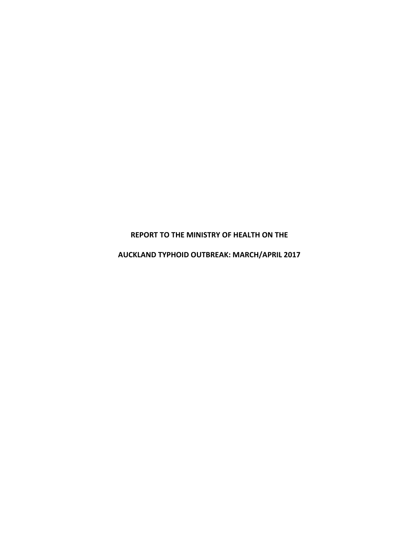**REPORT TO THE MINISTRY OF HEALTH ON THE**

**AUCKLAND TYPHOID OUTBREAK: MARCH/APRIL 2017**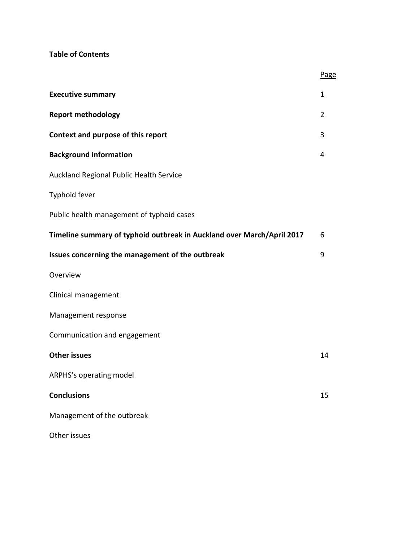# **Table of Contents**

|                                                                        | ≃  |
|------------------------------------------------------------------------|----|
| <b>Executive summary</b>                                               | 1  |
| <b>Report methodology</b>                                              | 2  |
| Context and purpose of this report                                     | 3  |
| <b>Background information</b>                                          | 4  |
| Auckland Regional Public Health Service                                |    |
| Typhoid fever                                                          |    |
| Public health management of typhoid cases                              |    |
| Timeline summary of typhoid outbreak in Auckland over March/April 2017 | 6  |
| Issues concerning the management of the outbreak                       | 9  |
| Overview                                                               |    |
| Clinical management                                                    |    |
| Management response                                                    |    |
| Communication and engagement                                           |    |
| <b>Other issues</b>                                                    | 14 |
| ARPHS's operating model                                                |    |
| <b>Conclusions</b>                                                     | 15 |
| Management of the outbreak                                             |    |
| Other issues                                                           |    |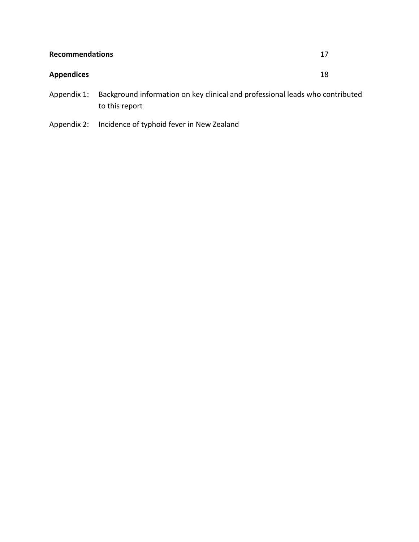| <b>Recommendations</b> |                                                                                           | 17 |
|------------------------|-------------------------------------------------------------------------------------------|----|
| <b>Appendices</b>      |                                                                                           | 18 |
|                        | Appendix 1: Background information on key clinical and professional leads who contributed |    |

Appendix 2: Incidence of typhoid fever in New Zealand

to this report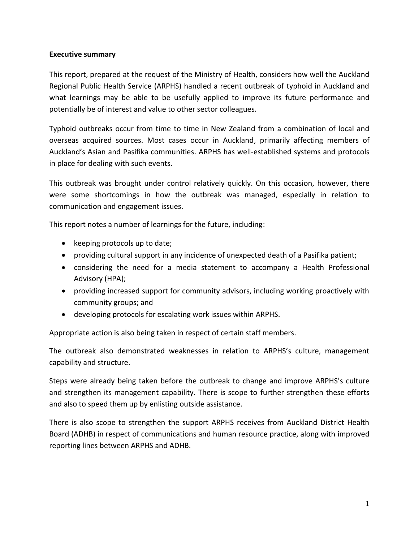## **Executive summary**

This report, prepared at the request of the Ministry of Health, considers how well the Auckland Regional Public Health Service (ARPHS) handled a recent outbreak of typhoid in Auckland and what learnings may be able to be usefully applied to improve its future performance and potentially be of interest and value to other sector colleagues.

Typhoid outbreaks occur from time to time in New Zealand from a combination of local and overseas acquired sources. Most cases occur in Auckland, primarily affecting members of Auckland's Asian and Pasifika communities. ARPHS has well-established systems and protocols in place for dealing with such events.

This outbreak was brought under control relatively quickly. On this occasion, however, there were some shortcomings in how the outbreak was managed, especially in relation to communication and engagement issues.

This report notes a number of learnings for the future, including:

- keeping protocols up to date;
- providing cultural support in any incidence of unexpected death of a Pasifika patient;
- considering the need for a media statement to accompany a Health Professional Advisory (HPA);
- providing increased support for community advisors, including working proactively with community groups; and
- developing protocols for escalating work issues within ARPHS.

Appropriate action is also being taken in respect of certain staff members.

The outbreak also demonstrated weaknesses in relation to ARPHS's culture, management capability and structure.

Steps were already being taken before the outbreak to change and improve ARPHS's culture and strengthen its management capability. There is scope to further strengthen these efforts and also to speed them up by enlisting outside assistance.

There is also scope to strengthen the support ARPHS receives from Auckland District Health Board (ADHB) in respect of communications and human resource practice, along with improved reporting lines between ARPHS and ADHB.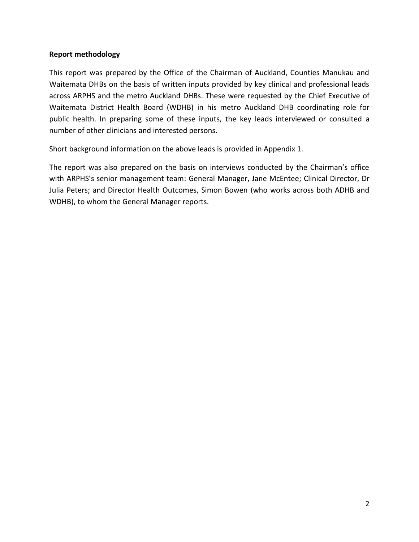## **Report methodology**

This report was prepared by the Office of the Chairman of Auckland, Counties Manukau and Waitemata DHBs on the basis of written inputs provided by key clinical and professional leads across ARPHS and the metro Auckland DHBs. These were requested by the Chief Executive of Waitemata District Health Board (WDHB) in his metro Auckland DHB coordinating role for public health. In preparing some of these inputs, the key leads interviewed or consulted a number of other clinicians and interested persons.

Short background information on the above leads is provided in Appendix 1.

The report was also prepared on the basis on interviews conducted by the Chairman's office with ARPHS's senior management team: General Manager, Jane McEntee; Clinical Director, Dr Julia Peters; and Director Health Outcomes, Simon Bowen (who works across both ADHB and WDHB), to whom the General Manager reports.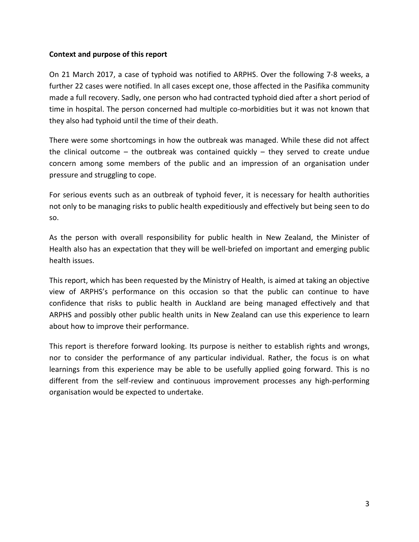### **Context and purpose of this report**

On 21 March 2017, a case of typhoid was notified to ARPHS. Over the following 7-8 weeks, a further 22 cases were notified. In all cases except one, those affected in the Pasifika community made a full recovery. Sadly, one person who had contracted typhoid died after a short period of time in hospital. The person concerned had multiple co-morbidities but it was not known that they also had typhoid until the time of their death.

There were some shortcomings in how the outbreak was managed. While these did not affect the clinical outcome – the outbreak was contained quickly – they served to create undue concern among some members of the public and an impression of an organisation under pressure and struggling to cope.

For serious events such as an outbreak of typhoid fever, it is necessary for health authorities not only to be managing risks to public health expeditiously and effectively but being seen to do so.

As the person with overall responsibility for public health in New Zealand, the Minister of Health also has an expectation that they will be well-briefed on important and emerging public health issues.

This report, which has been requested by the Ministry of Health, is aimed at taking an objective view of ARPHS's performance on this occasion so that the public can continue to have confidence that risks to public health in Auckland are being managed effectively and that ARPHS and possibly other public health units in New Zealand can use this experience to learn about how to improve their performance.

This report is therefore forward looking. Its purpose is neither to establish rights and wrongs, nor to consider the performance of any particular individual. Rather, the focus is on what learnings from this experience may be able to be usefully applied going forward. This is no different from the self-review and continuous improvement processes any high-performing organisation would be expected to undertake.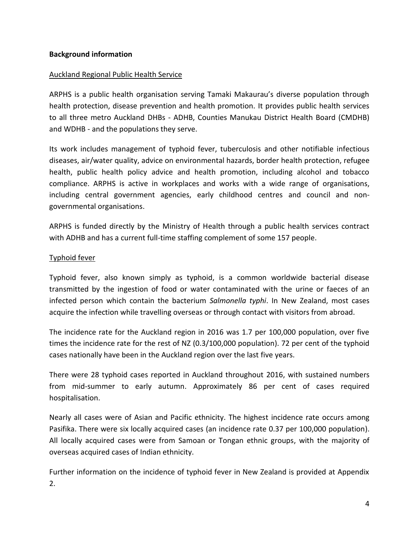## Auckland Regional Public Health Service

ARPHS is a public health organisation serving Tamaki Makaurau's diverse population through health protection, disease prevention and health promotion. It provides public health services to all three metro Auckland DHBs - ADHB, Counties Manukau District Health Board (CMDHB) and WDHB - and the populations they serve.

Its work includes management of typhoid fever, tuberculosis and other notifiable infectious diseases, air/water quality, advice on environmental hazards, border health protection, refugee health, public health policy advice and health promotion, including alcohol and tobacco compliance. ARPHS is active in workplaces and works with a wide range of organisations, including central government agencies, early childhood centres and council and nongovernmental organisations.

ARPHS is funded directly by the Ministry of Health through a public health services contract with ADHB and has a current full-time staffing complement of some 157 people.

## Typhoid fever

Typhoid fever, also known simply as typhoid, is a common worldwide bacterial disease transmitted by the ingestion of food or water contaminated with the urine or faeces of an infected person which contain the bacterium *Salmonella typhi*. In New Zealand, most cases acquire the infection while travelling overseas or through contact with visitors from abroad.

The incidence rate for the Auckland region in 2016 was 1.7 per 100,000 population, over five times the incidence rate for the rest of NZ (0.3/100,000 population). 72 per cent of the typhoid cases nationally have been in the Auckland region over the last five years.

There were 28 typhoid cases reported in Auckland throughout 2016, with sustained numbers from mid-summer to early autumn. Approximately 86 per cent of cases required hospitalisation.

Nearly all cases were of Asian and Pacific ethnicity. The highest incidence rate occurs among Pasifika. There were six locally acquired cases (an incidence rate 0.37 per 100,000 population). All locally acquired cases were from Samoan or Tongan ethnic groups, with the majority of overseas acquired cases of Indian ethnicity.

Further information on the incidence of typhoid fever in New Zealand is provided at Appendix 2.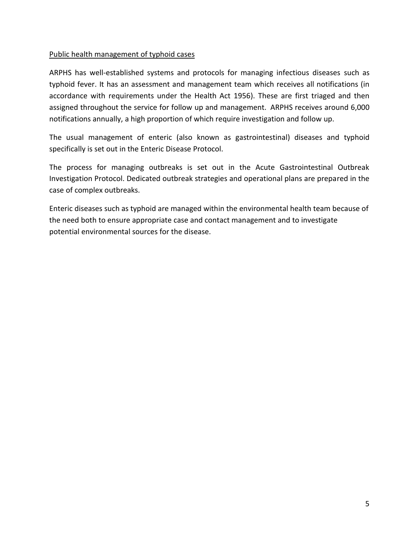## Public health management of typhoid cases

ARPHS has well-established systems and protocols for managing infectious diseases such as typhoid fever. It has an assessment and management team which receives all notifications (in accordance with requirements under the Health Act 1956). These are first triaged and then assigned throughout the service for follow up and management. ARPHS receives around 6,000 notifications annually, a high proportion of which require investigation and follow up.

The usual management of enteric (also known as gastrointestinal) diseases and typhoid specifically is set out in the Enteric Disease Protocol.

The process for managing outbreaks is set out in the Acute Gastrointestinal Outbreak Investigation Protocol. Dedicated outbreak strategies and operational plans are prepared in the case of complex outbreaks.

Enteric diseases such as typhoid are managed within the environmental health team because of the need both to ensure appropriate case and contact management and to investigate potential environmental sources for the disease.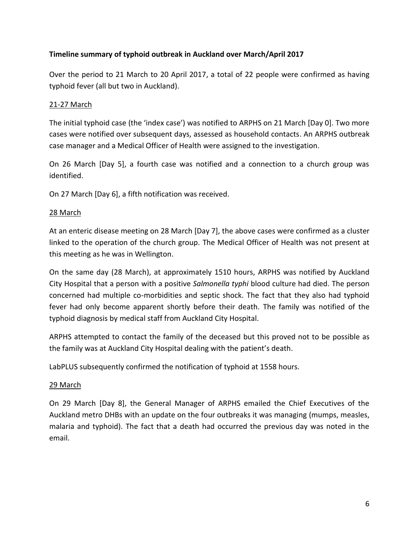## **Timeline summary of typhoid outbreak in Auckland over March/April 2017**

Over the period to 21 March to 20 April 2017, a total of 22 people were confirmed as having typhoid fever (all but two in Auckland).

## 21-27 March

The initial typhoid case (the 'index case') was notified to ARPHS on 21 March [Day 0]. Two more cases were notified over subsequent days, assessed as household contacts. An ARPHS outbreak case manager and a Medical Officer of Health were assigned to the investigation.

On 26 March [Day 5], a fourth case was notified and a connection to a church group was identified.

On 27 March [Day 6], a fifth notification was received.

## 28 March

At an enteric disease meeting on 28 March [Day 7], the above cases were confirmed as a cluster linked to the operation of the church group. The Medical Officer of Health was not present at this meeting as he was in Wellington.

On the same day (28 March), at approximately 1510 hours, ARPHS was notified by Auckland City Hospital that a person with a positive *Salmonella typhi* blood culture had died. The person concerned had multiple co-morbidities and septic shock. The fact that they also had typhoid fever had only become apparent shortly before their death. The family was notified of the typhoid diagnosis by medical staff from Auckland City Hospital.

ARPHS attempted to contact the family of the deceased but this proved not to be possible as the family was at Auckland City Hospital dealing with the patient's death.

LabPLUS subsequently confirmed the notification of typhoid at 1558 hours.

### 29 March

On 29 March [Day 8], the General Manager of ARPHS emailed the Chief Executives of the Auckland metro DHBs with an update on the four outbreaks it was managing (mumps, measles, malaria and typhoid). The fact that a death had occurred the previous day was noted in the email.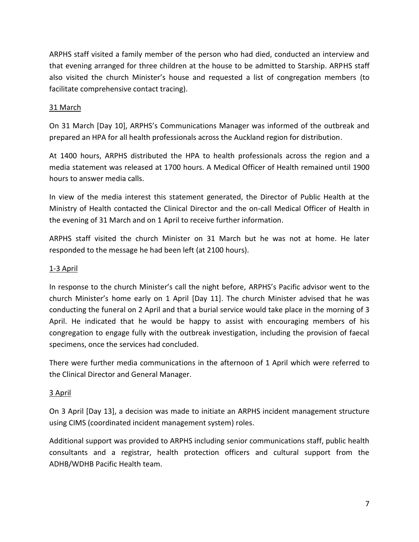ARPHS staff visited a family member of the person who had died, conducted an interview and that evening arranged for three children at the house to be admitted to Starship. ARPHS staff also visited the church Minister's house and requested a list of congregation members (to facilitate comprehensive contact tracing).

## 31 March

On 31 March [Day 10], ARPHS's Communications Manager was informed of the outbreak and prepared an HPA for all health professionals across the Auckland region for distribution.

At 1400 hours, ARPHS distributed the HPA to health professionals across the region and a media statement was released at 1700 hours. A Medical Officer of Health remained until 1900 hours to answer media calls.

In view of the media interest this statement generated, the Director of Public Health at the Ministry of Health contacted the Clinical Director and the on-call Medical Officer of Health in the evening of 31 March and on 1 April to receive further information.

ARPHS staff visited the church Minister on 31 March but he was not at home. He later responded to the message he had been left (at 2100 hours).

## 1-3 April

In response to the church Minister's call the night before, ARPHS's Pacific advisor went to the church Minister's home early on 1 April [Day 11]. The church Minister advised that he was conducting the funeral on 2 April and that a burial service would take place in the morning of 3 April. He indicated that he would be happy to assist with encouraging members of his congregation to engage fully with the outbreak investigation, including the provision of faecal specimens, once the services had concluded.

There were further media communications in the afternoon of 1 April which were referred to the Clinical Director and General Manager.

## 3 April

On 3 April [Day 13], a decision was made to initiate an ARPHS incident management structure using CIMS (coordinated incident management system) roles.

Additional support was provided to ARPHS including senior communications staff, public health consultants and a registrar, health protection officers and cultural support from the ADHB/WDHB Pacific Health team.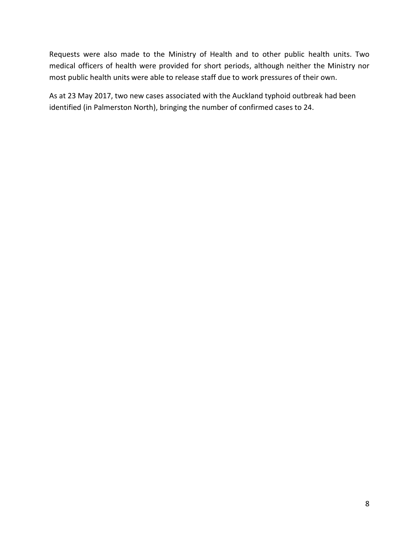Requests were also made to the Ministry of Health and to other public health units. Two medical officers of health were provided for short periods, although neither the Ministry nor most public health units were able to release staff due to work pressures of their own.

As at 23 May 2017, two new cases associated with the Auckland typhoid outbreak had been identified (in Palmerston North), bringing the number of confirmed cases to 24.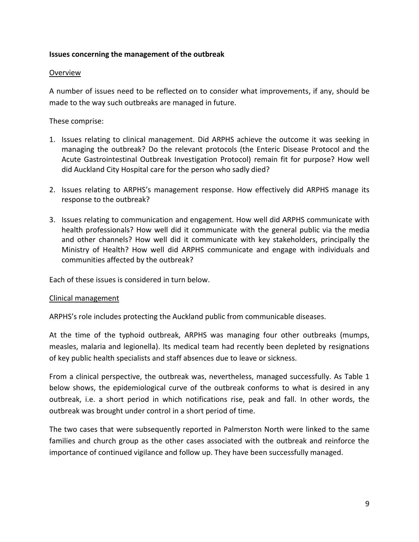## **Issues concerning the management of the outbreak**

### Overview

A number of issues need to be reflected on to consider what improvements, if any, should be made to the way such outbreaks are managed in future.

These comprise:

- 1. Issues relating to clinical management. Did ARPHS achieve the outcome it was seeking in managing the outbreak? Do the relevant protocols (the Enteric Disease Protocol and the Acute Gastrointestinal Outbreak Investigation Protocol) remain fit for purpose? How well did Auckland City Hospital care for the person who sadly died?
- 2. Issues relating to ARPHS's management response. How effectively did ARPHS manage its response to the outbreak?
- 3. Issues relating to communication and engagement. How well did ARPHS communicate with health professionals? How well did it communicate with the general public via the media and other channels? How well did it communicate with key stakeholders, principally the Ministry of Health? How well did ARPHS communicate and engage with individuals and communities affected by the outbreak?

Each of these issues is considered in turn below.

### Clinical management

ARPHS's role includes protecting the Auckland public from communicable diseases.

At the time of the typhoid outbreak, ARPHS was managing four other outbreaks (mumps, measles, malaria and legionella). Its medical team had recently been depleted by resignations of key public health specialists and staff absences due to leave or sickness.

From a clinical perspective, the outbreak was, nevertheless, managed successfully. As Table 1 below shows, the epidemiological curve of the outbreak conforms to what is desired in any outbreak, i.e. a short period in which notifications rise, peak and fall. In other words, the outbreak was brought under control in a short period of time.

The two cases that were subsequently reported in Palmerston North were linked to the same families and church group as the other cases associated with the outbreak and reinforce the importance of continued vigilance and follow up. They have been successfully managed.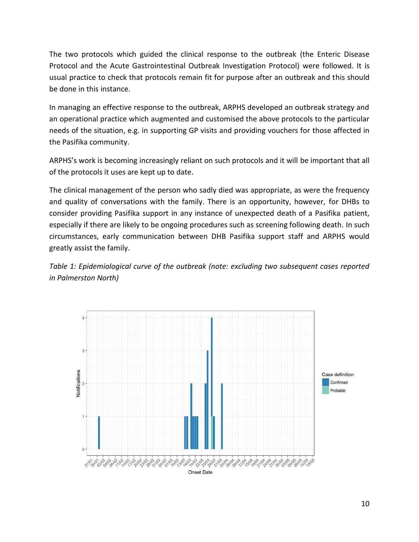The two protocols which guided the clinical response to the outbreak (the Enteric Disease Protocol and the Acute Gastrointestinal Outbreak Investigation Protocol) were followed. It is usual practice to check that protocols remain fit for purpose after an outbreak and this should be done in this instance.

In managing an effective response to the outbreak, ARPHS developed an outbreak strategy and an operational practice which augmented and customised the above protocols to the particular needs of the situation, e.g. in supporting GP visits and providing vouchers for those affected in the Pasifika community.

ARPHS's work is becoming increasingly reliant on such protocols and it will be important that all of the protocols it uses are kept up to date.

The clinical management of the person who sadly died was appropriate, as were the frequency and quality of conversations with the family. There is an opportunity, however, for DHBs to consider providing Pasifika support in any instance of unexpected death of a Pasifika patient, especially if there are likely to be ongoing procedures such as screening following death. In such circumstances, early communication between DHB Pasifika support staff and ARPHS would greatly assist the family.

*Table 1: Epidemiological curve of the outbreak (note: excluding two subsequent cases reported in Palmerston North)*

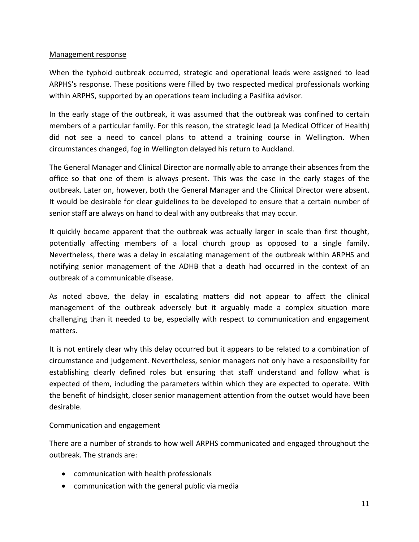## Management response

When the typhoid outbreak occurred, strategic and operational leads were assigned to lead ARPHS's response. These positions were filled by two respected medical professionals working within ARPHS, supported by an operations team including a Pasifika advisor.

In the early stage of the outbreak, it was assumed that the outbreak was confined to certain members of a particular family. For this reason, the strategic lead (a Medical Officer of Health) did not see a need to cancel plans to attend a training course in Wellington. When circumstances changed, fog in Wellington delayed his return to Auckland.

The General Manager and Clinical Director are normally able to arrange their absences from the office so that one of them is always present. This was the case in the early stages of the outbreak. Later on, however, both the General Manager and the Clinical Director were absent. It would be desirable for clear guidelines to be developed to ensure that a certain number of senior staff are always on hand to deal with any outbreaks that may occur.

It quickly became apparent that the outbreak was actually larger in scale than first thought, potentially affecting members of a local church group as opposed to a single family. Nevertheless, there was a delay in escalating management of the outbreak within ARPHS and notifying senior management of the ADHB that a death had occurred in the context of an outbreak of a communicable disease.

As noted above, the delay in escalating matters did not appear to affect the clinical management of the outbreak adversely but it arguably made a complex situation more challenging than it needed to be, especially with respect to communication and engagement matters.

It is not entirely clear why this delay occurred but it appears to be related to a combination of circumstance and judgement. Nevertheless, senior managers not only have a responsibility for establishing clearly defined roles but ensuring that staff understand and follow what is expected of them, including the parameters within which they are expected to operate. With the benefit of hindsight, closer senior management attention from the outset would have been desirable.

## Communication and engagement

There are a number of strands to how well ARPHS communicated and engaged throughout the outbreak. The strands are:

- communication with health professionals
- communication with the general public via media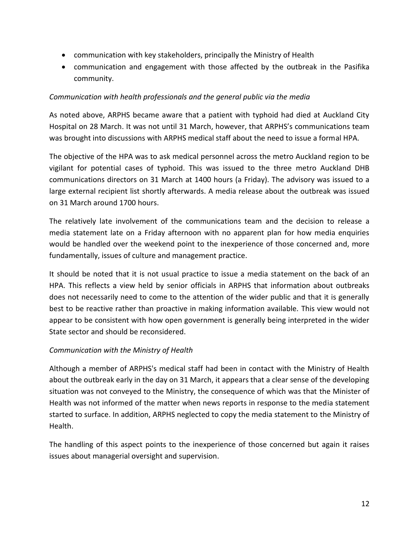- communication with key stakeholders, principally the Ministry of Health
- communication and engagement with those affected by the outbreak in the Pasifika community.

## *Communication with health professionals and the general public via the media*

As noted above, ARPHS became aware that a patient with typhoid had died at Auckland City Hospital on 28 March. It was not until 31 March, however, that ARPHS's communications team was brought into discussions with ARPHS medical staff about the need to issue a formal HPA.

The objective of the HPA was to ask medical personnel across the metro Auckland region to be vigilant for potential cases of typhoid. This was issued to the three metro Auckland DHB communications directors on 31 March at 1400 hours (a Friday). The advisory was issued to a large external recipient list shortly afterwards. A media release about the outbreak was issued on 31 March around 1700 hours.

The relatively late involvement of the communications team and the decision to release a media statement late on a Friday afternoon with no apparent plan for how media enquiries would be handled over the weekend point to the inexperience of those concerned and, more fundamentally, issues of culture and management practice.

It should be noted that it is not usual practice to issue a media statement on the back of an HPA. This reflects a view held by senior officials in ARPHS that information about outbreaks does not necessarily need to come to the attention of the wider public and that it is generally best to be reactive rather than proactive in making information available. This view would not appear to be consistent with how open government is generally being interpreted in the wider State sector and should be reconsidered.

### *Communication with the Ministry of Health*

Although a member of ARPHS's medical staff had been in contact with the Ministry of Health about the outbreak early in the day on 31 March, it appears that a clear sense of the developing situation was not conveyed to the Ministry, the consequence of which was that the Minister of Health was not informed of the matter when news reports in response to the media statement started to surface. In addition, ARPHS neglected to copy the media statement to the Ministry of Health.

The handling of this aspect points to the inexperience of those concerned but again it raises issues about managerial oversight and supervision.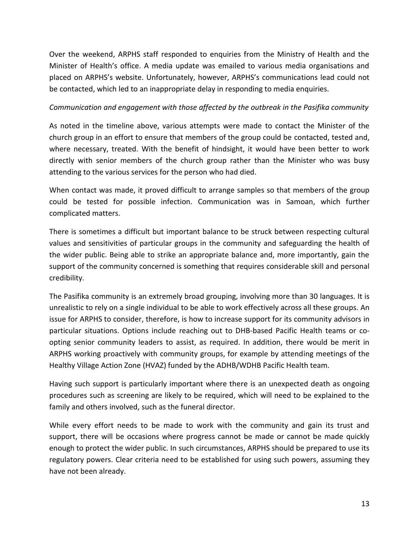Over the weekend, ARPHS staff responded to enquiries from the Ministry of Health and the Minister of Health's office. A media update was emailed to various media organisations and placed on ARPHS's website. Unfortunately, however, ARPHS's communications lead could not be contacted, which led to an inappropriate delay in responding to media enquiries.

## *Communication and engagement with those affected by the outbreak in the Pasifika community*

As noted in the timeline above, various attempts were made to contact the Minister of the church group in an effort to ensure that members of the group could be contacted, tested and, where necessary, treated. With the benefit of hindsight, it would have been better to work directly with senior members of the church group rather than the Minister who was busy attending to the various services for the person who had died.

When contact was made, it proved difficult to arrange samples so that members of the group could be tested for possible infection. Communication was in Samoan, which further complicated matters.

There is sometimes a difficult but important balance to be struck between respecting cultural values and sensitivities of particular groups in the community and safeguarding the health of the wider public. Being able to strike an appropriate balance and, more importantly, gain the support of the community concerned is something that requires considerable skill and personal credibility.

The Pasifika community is an extremely broad grouping, involving more than 30 languages. It is unrealistic to rely on a single individual to be able to work effectively across all these groups. An issue for ARPHS to consider, therefore, is how to increase support for its community advisors in particular situations. Options include reaching out to DHB-based Pacific Health teams or coopting senior community leaders to assist, as required. In addition, there would be merit in ARPHS working proactively with community groups, for example by attending meetings of the Healthy Village Action Zone (HVAZ) funded by the ADHB/WDHB Pacific Health team.

Having such support is particularly important where there is an unexpected death as ongoing procedures such as screening are likely to be required, which will need to be explained to the family and others involved, such as the funeral director.

While every effort needs to be made to work with the community and gain its trust and support, there will be occasions where progress cannot be made or cannot be made quickly enough to protect the wider public. In such circumstances, ARPHS should be prepared to use its regulatory powers. Clear criteria need to be established for using such powers, assuming they have not been already.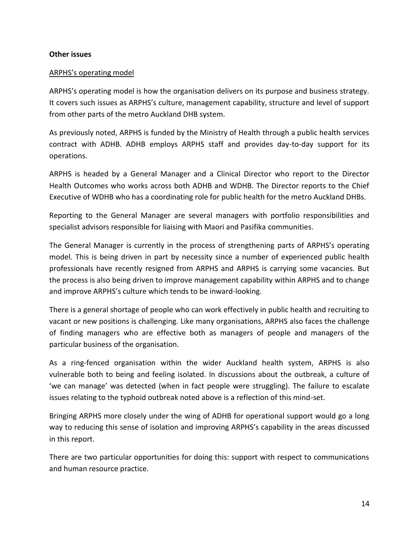#### **Other issues**

#### ARPHS's operating model

ARPHS's operating model is how the organisation delivers on its purpose and business strategy. It covers such issues as ARPHS's culture, management capability, structure and level of support from other parts of the metro Auckland DHB system.

As previously noted, ARPHS is funded by the Ministry of Health through a public health services contract with ADHB. ADHB employs ARPHS staff and provides day-to-day support for its operations.

ARPHS is headed by a General Manager and a Clinical Director who report to the Director Health Outcomes who works across both ADHB and WDHB. The Director reports to the Chief Executive of WDHB who has a coordinating role for public health for the metro Auckland DHBs.

Reporting to the General Manager are several managers with portfolio responsibilities and specialist advisors responsible for liaising with Maori and Pasifika communities.

The General Manager is currently in the process of strengthening parts of ARPHS's operating model. This is being driven in part by necessity since a number of experienced public health professionals have recently resigned from ARPHS and ARPHS is carrying some vacancies. But the process is also being driven to improve management capability within ARPHS and to change and improve ARPHS's culture which tends to be inward-looking.

There is a general shortage of people who can work effectively in public health and recruiting to vacant or new positions is challenging. Like many organisations, ARPHS also faces the challenge of finding managers who are effective both as managers of people and managers of the particular business of the organisation.

As a ring-fenced organisation within the wider Auckland health system, ARPHS is also vulnerable both to being and feeling isolated. In discussions about the outbreak, a culture of 'we can manage' was detected (when in fact people were struggling). The failure to escalate issues relating to the typhoid outbreak noted above is a reflection of this mind-set.

Bringing ARPHS more closely under the wing of ADHB for operational support would go a long way to reducing this sense of isolation and improving ARPHS's capability in the areas discussed in this report.

There are two particular opportunities for doing this: support with respect to communications and human resource practice.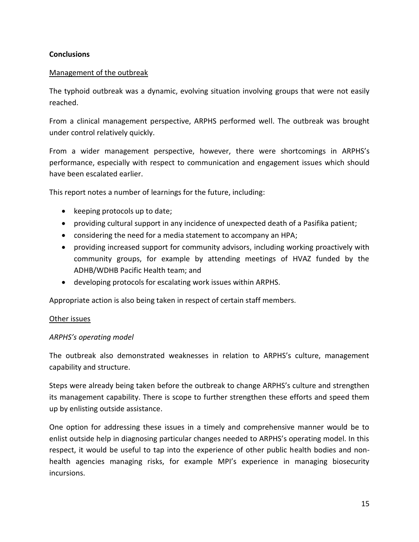## **Conclusions**

### Management of the outbreak

The typhoid outbreak was a dynamic, evolving situation involving groups that were not easily reached.

From a clinical management perspective, ARPHS performed well. The outbreak was brought under control relatively quickly.

From a wider management perspective, however, there were shortcomings in ARPHS's performance, especially with respect to communication and engagement issues which should have been escalated earlier.

This report notes a number of learnings for the future, including:

- keeping protocols up to date;
- providing cultural support in any incidence of unexpected death of a Pasifika patient;
- considering the need for a media statement to accompany an HPA;
- providing increased support for community advisors, including working proactively with community groups, for example by attending meetings of HVAZ funded by the ADHB/WDHB Pacific Health team; and
- developing protocols for escalating work issues within ARPHS.

Appropriate action is also being taken in respect of certain staff members.

### Other issues

### *ARPHS's operating model*

The outbreak also demonstrated weaknesses in relation to ARPHS's culture, management capability and structure.

Steps were already being taken before the outbreak to change ARPHS's culture and strengthen its management capability. There is scope to further strengthen these efforts and speed them up by enlisting outside assistance.

One option for addressing these issues in a timely and comprehensive manner would be to enlist outside help in diagnosing particular changes needed to ARPHS's operating model. In this respect, it would be useful to tap into the experience of other public health bodies and nonhealth agencies managing risks, for example MPI's experience in managing biosecurity incursions.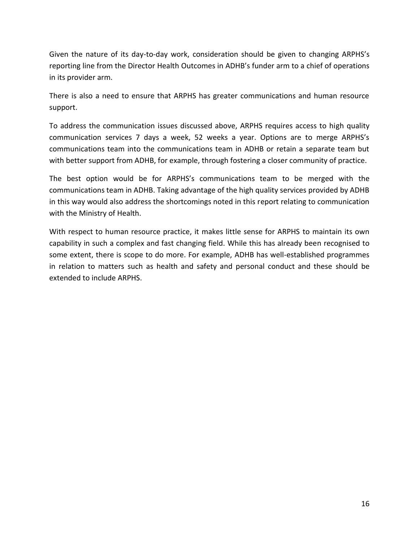Given the nature of its day-to-day work, consideration should be given to changing ARPHS's reporting line from the Director Health Outcomes in ADHB's funder arm to a chief of operations in its provider arm.

There is also a need to ensure that ARPHS has greater communications and human resource support.

To address the communication issues discussed above, ARPHS requires access to high quality communication services 7 days a week, 52 weeks a year. Options are to merge ARPHS's communications team into the communications team in ADHB or retain a separate team but with better support from ADHB, for example, through fostering a closer community of practice.

The best option would be for ARPHS's communications team to be merged with the communications team in ADHB. Taking advantage of the high quality services provided by ADHB in this way would also address the shortcomings noted in this report relating to communication with the Ministry of Health.

With respect to human resource practice, it makes little sense for ARPHS to maintain its own capability in such a complex and fast changing field. While this has already been recognised to some extent, there is scope to do more. For example, ADHB has well-established programmes in relation to matters such as health and safety and personal conduct and these should be extended to include ARPHS.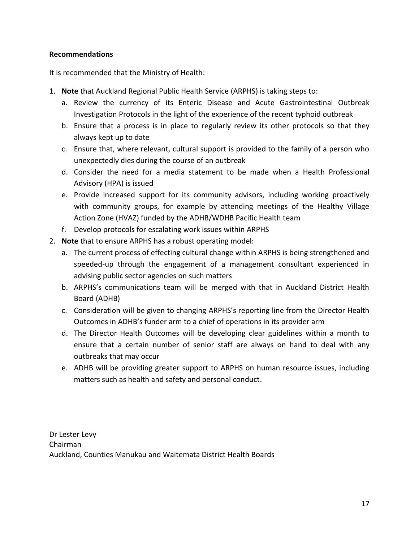## **Recommendations**

It is recommended that the Ministry of Health:

- 1. **Note** that Auckland Regional Public Health Service (ARPHS) is taking steps to:
	- a. Review the currency of its Enteric Disease and Acute Gastrointestinal Outbreak Investigation Protocols in the light of the experience of the recent typhoid outbreak
	- b. Ensure that a process is in place to regularly review its other protocols so that they always kept up to date
	- c. Ensure that, where relevant, cultural support is provided to the family of a person who unexpectedly dies during the course of an outbreak
	- d. Consider the need for a media statement to be made when a Health Professional Advisory (HPA) is issued
	- e. Provide increased support for its community advisors, including working proactively with community groups, for example by attending meetings of the Healthy Village Action Zone (HVAZ) funded by the ADHB/WDHB Pacific Health team
	- f. Develop protocols for escalating work issues within ARPHS
- 2. **Note** that to ensure ARPHS has a robust operating model:
	- a. The current process of effecting cultural change within ARPHS is being strengthened and speeded-up through the engagement of a management consultant experienced in advising public sector agencies on such matters
	- b. ARPHS's communications team will be merged with that in Auckland District Health Board (ADHB)
	- c. Consideration will be given to changing ARPHS's reporting line from the Director Health Outcomes in ADHB's funder arm to a chief of operations in its provider arm
	- d. The Director Health Outcomes will be developing clear guidelines within a month to ensure that a certain number of senior staff are always on hand to deal with any outbreaks that may occur
	- e. ADHB will be providing greater support to ARPHS on human resource issues, including matters such as health and safety and personal conduct.

Dr Lester Levy Chairman Auckland, Counties Manukau and Waitemata District Health Boards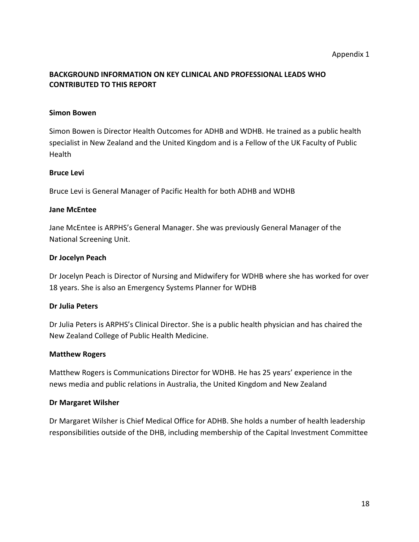## **BACKGROUND INFORMATION ON KEY CLINICAL AND PROFESSIONAL LEADS WHO CONTRIBUTED TO THIS REPORT**

## **Simon Bowen**

Simon Bowen is Director Health Outcomes for ADHB and WDHB. He trained as a public health specialist in New Zealand and the United Kingdom and is a Fellow of the UK Faculty of Public Health

## **Bruce Levi**

Bruce Levi is General Manager of Pacific Health for both ADHB and WDHB

## **Jane McEntee**

Jane McEntee is ARPHS's General Manager. She was previously General Manager of the National Screening Unit.

## **Dr Jocelyn Peach**

Dr Jocelyn Peach is Director of Nursing and Midwifery for WDHB where she has worked for over 18 years. She is also an Emergency Systems Planner for WDHB

### **Dr Julia Peters**

Dr Julia Peters is ARPHS's Clinical Director. She is a public health physician and has chaired the New Zealand College of Public Health Medicine.

### **Matthew Rogers**

Matthew Rogers is Communications Director for WDHB. He has 25 years' experience in the news media and public relations in Australia, the United Kingdom and New Zealand

## **Dr Margaret Wilsher**

Dr Margaret Wilsher is Chief Medical Office for ADHB. She holds a number of health leadership responsibilities outside of the DHB, including membership of the Capital Investment Committee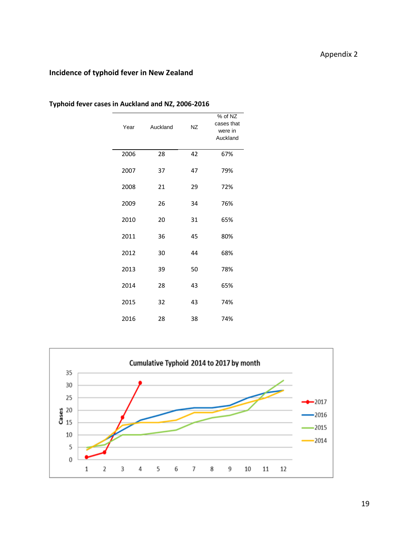# Appendix 2

## **Incidence of typhoid fever in New Zealand**

| Year | Auckland | <b>NZ</b> | % of NZ<br>cases that<br>were in<br>Auckland |
|------|----------|-----------|----------------------------------------------|
| 2006 | 28       | 42        | 67%                                          |
| 2007 | 37       | 47        | 79%                                          |
| 2008 | 21       | 29        | 72%                                          |
| 2009 | 26       | 34        | 76%                                          |
| 2010 | 20       | 31        | 65%                                          |
| 2011 | 36       | 45        | 80%                                          |
| 2012 | 30       | 44        | 68%                                          |
| 2013 | 39       | 50        | 78%                                          |
| 2014 | 28       | 43        | 65%                                          |
| 2015 | 32       | 43        | 74%                                          |
| 2016 | 28       | 38        | 74%                                          |

**Typhoid fever cases in Auckland and NZ, 2006-2016**